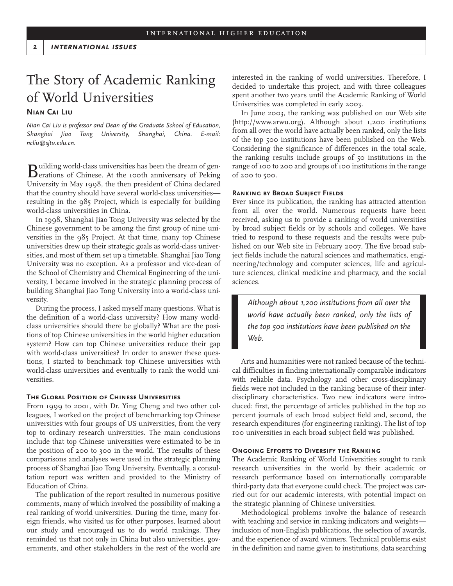# The Story of Academic Ranking of World Universities

## **Nian Cai Liu**

*Nian Cai Liu is professor and Dean of the Graduate School of Education, Shanghai Jiao Tong University, Shanghai, China. E-mail: ncliu@sjtu.edu.cn.*

Building world-class universities has been the dream of gen-<br>erations of Chinese. At the 100th anniversary of Peking University in May 1998, the then president of China declared that the country should have several world-class universities resulting in the 985 Project, which is especially for building world-class universities in China.

In 1998, Shanghai Jiao Tong University was selected by the Chinese government to be among the first group of nine universities in the 985 Project. At that time, many top Chinese universities drew up their strategic goals as world-class universities, and most of them set up a timetable. Shanghai Jiao Tong University was no exception. As a professor and vice-dean of the School of Chemistry and Chemical Engineering of the university, I became involved in the strategic planning process of building Shanghai Jiao Tong University into a world-class university.

During the process, I asked myself many questions. What is the definition of a world-class university? How many worldclass universities should there be globally? What are the positions of top Chinese universities in the world higher education system? How can top Chinese universities reduce their gap with world-class universities? In order to answer these questions, I started to benchmark top Chinese universities with world-class universities and eventually to rank the world universities.

### **The Global Position of Chinese Universities**

From 1999 to 2001, with Dr. Ying Cheng and two other colleagues, I worked on the project of benchmarking top Chinese universities with four groups of US universities, from the very top to ordinary research universities. The main conclusions include that top Chinese universities were estimated to be in the position of 200 to 300 in the world. The results of these comparisons and analyses were used in the strategic planning process of Shanghai Jiao Tong University. Eventually, a consultation report was written and provided to the Ministry of Education of China.

The publication of the report resulted in numerous positive comments, many of which involved the possibility of making a real ranking of world universities. During the time, many foreign friends, who visited us for other purposes, learned about our study and encouraged us to do world rankings. They reminded us that not only in China but also universities, governments, and other stakeholders in the rest of the world are

interested in the ranking of world universities. Therefore, I decided to undertake this project, and with three colleagues spent another two years until the Academic Ranking of World Universities was completed in early 2003.

In June 2003, the ranking was published on our Web site (http://www.arwu.org). Although about 1,200 institutions from all over the world have actually been ranked, only the lists of the top 500 institutions have been published on the Web. Considering the significance of differences in the total scale, the ranking results include groups of 50 institutions in the range of 100 to 200 and groups of 100 institutions in the range of 200 to 500.

#### **Ranking by Broad Subject Fields**

Ever since its publication, the ranking has attracted attention from all over the world. Numerous requests have been received, asking us to provide a ranking of world universities by broad subject fields or by schools and colleges. We have tried to respond to these requests and the results were published on our Web site in February 2007. The five broad subject fields include the natural sciences and mathematics, engineering/technology and computer sciences, life and agriculture sciences, clinical medicine and pharmacy, and the social sciences.

*Although about 1,200 institutions from all over the world have actually been ranked, only the lists of the top 500 institutions have been published on the Web.* 

Arts and humanities were not ranked because of the technical difficulties in finding internationally comparable indicators with reliable data. Psychology and other cross-disciplinary fields were not included in the ranking because of their interdisciplinary characteristics. Two new indicators were introduced: first, the percentage of articles published in the top 20 percent journals of each broad subject field and, second, the research expenditures (for engineering ranking). The list of top 100 universities in each broad subject field was published.

#### **Ongoing Efforts to Diversify the Ranking**

The Academic Ranking of World Universities sought to rank research universities in the world by their academic or research performance based on internationally comparable third-party data that everyone could check. The project was carried out for our academic interests, with potential impact on the strategic planning of Chinese universities.

Methodological problems involve the balance of research with teaching and service in ranking indicators and weights inclusion of non-English publications, the selection of awards, and the experience of award winners. Technical problems exist in the definition and name given to institutions, data searching